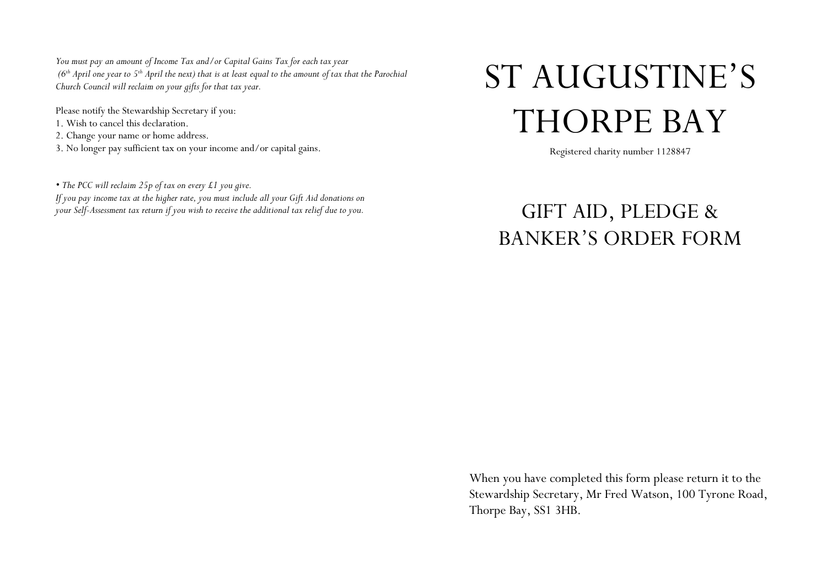*You must pay an amount of Income Tax and/or Capital Gains Tax for each tax year (6th April one year to 5th April the next) that is at least equal to the amount of tax that the Parochial Church Council will reclaim on your gifts for that tax year.*

Please notify the Stewardship Secretary if you: 1. Wish to cancel this declaration. 2. Change your name or home address. 3. No longer pay sufficient tax on your income and/or capital gains.

*• The PCC will reclaim 25p of tax on every £1 you give. If you pay income tax at the higher rate, you must include all your Gift Aid donations on your Self-Assessment tax return if you wish to receive the additional tax relief due to you.*

## ST AUGUSTINE'S THORPE BAY

Registered charity number 1128847

GIFT AID, PLEDGE & BANKER'S ORDER FORM

When you have completed this form please return it to the Stewardship Secretary, Mr Fred Watson, 100 Tyrone Road, Thorpe Bay, SS1 3HB.